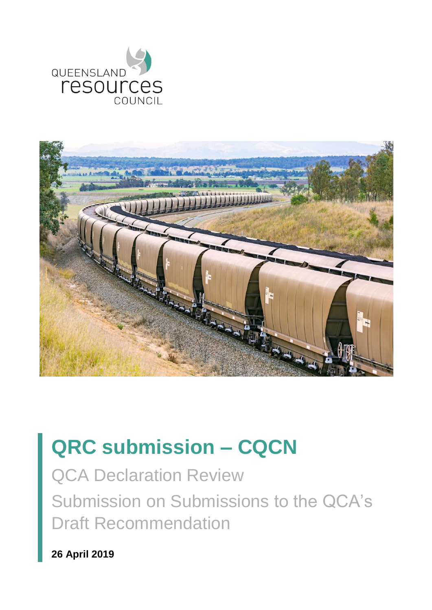



# **QRC submission – CQCN**

QCA Declaration Review Submission on Submissions to the QCA's Draft Recommendation

**26 April 2019**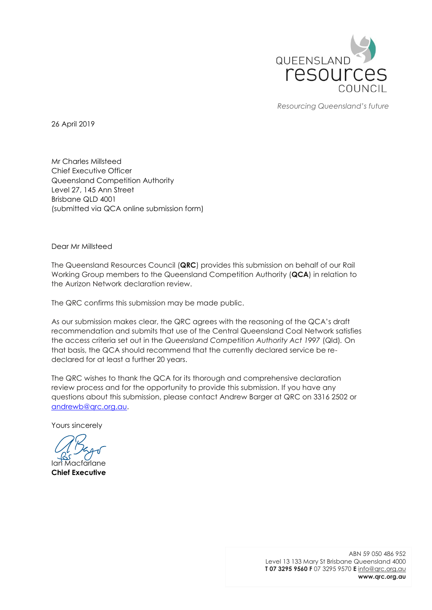

*Resourcing Queensland's future*

26 April 2019

Mr Charles Millsteed Chief Executive Officer Queensland Competition Authority Level 27, 145 Ann Street Brisbane QLD 4001 (submitted via QCA online submission form)

Dear Mr Millsteed

The Queensland Resources Council (**QRC**) provides this submission on behalf of our Rail Working Group members to the Queensland Competition Authority (**QCA**) in relation to the Aurizon Network declaration review.

The QRC confirms this submission may be made public.

As our submission makes clear, the QRC agrees with the reasoning of the QCA's draft recommendation and submits that use of the Central Queensland Coal Network satisfies the access criteria set out in the *Queensland Competition Authority Act 1997* (Qld)*.* On that basis, the QCA should recommend that the currently declared service be redeclared for at least a further 20 years.

The QRC wishes to thank the QCA for its thorough and comprehensive declaration review process and for the opportunity to provide this submission. If you have any questions about this submission, please contact Andrew Barger at QRC on 3316 2502 or [andrewb@qrc.org.au.](mailto:andrewb@qrc.org.au)

Yours sincerely

acfarlane **Chief Executive**

ABN 59 050 486 952 Level 13 133 Mary St Brisbane Queensland 4000 **T 07 3295 9560 F** 07 3295 9570 **E** [info@qrc.org.au](mailto:info@qrc.org.au) **www.qrc.org.au**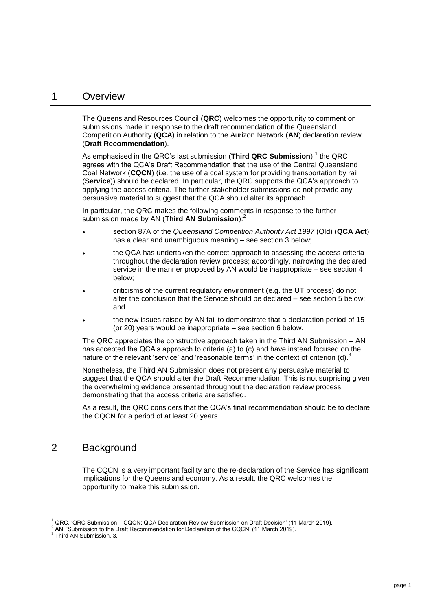#### 1 Overview

The Queensland Resources Council (**QRC**) welcomes the opportunity to comment on submissions made in response to the draft recommendation of the Queensland Competition Authority (**QCA**) in relation to the Aurizon Network (**AN**) declaration review (**Draft Recommendation**).

As emphasised in the QRC's last submission (**Third QRC Submission**),<sup>1</sup> the QRC agrees with the QCA's Draft Recommendation that the use of the Central Queensland Coal Network (**CQCN**) (i.e. the use of a coal system for providing transportation by rail (**Service**)) should be declared. In particular, the QRC supports the QCA's approach to applying the access criteria. The further stakeholder submissions do not provide any persuasive material to suggest that the QCA should alter its approach.

In particular, the QRC makes the following comments in response to the further submission made by AN (**Third AN Submission**): 2

- section 87A of the *Queensland Competition Authority Act 1997* (Qld) (**QCA Act**) has a clear and unambiguous meaning – see section [3](#page-3-0) below;
- the QCA has undertaken the correct approach to assessing the access criteria throughout the declaration review process; accordingly, narrowing the declared service in the manner proposed by AN would be inappropriate – see section [4](#page-3-1) below;
- criticisms of the current regulatory environment (e.g. the UT process) do not alter the conclusion that the Service should be declared – see section [5](#page-4-0) below; and
- the new issues raised by AN fail to demonstrate that a declaration period of 15 (or 20) years would be inappropriate – see section [6](#page-5-0) below.

The QRC appreciates the constructive approach taken in the Third AN Submission – AN has accepted the QCA's approach to criteria (a) to (c) and have instead focused on the nature of the relevant 'service' and 'reasonable terms' in the context of criterion (d).<sup>3</sup>

Nonetheless, the Third AN Submission does not present any persuasive material to suggest that the QCA should alter the Draft Recommendation. This is not surprising given the overwhelming evidence presented throughout the declaration review process demonstrating that the access criteria are satisfied.

As a result, the QRC considers that the QCA's final recommendation should be to declare the CQCN for a period of at least 20 years.

## 2 Background

The CQCN is a very important facility and the re-declaration of the Service has significant implications for the Queensland economy. As a result, the QRC welcomes the opportunity to make this submission.

l

<sup>1</sup> QRC, 'QRC Submission – CQCN: QCA Declaration Review Submission on Draft Decision' (11 March 2019).

<sup>2</sup> AN, 'Submission to the Draft Recommendation for Declaration of the CQCN' (11 March 2019).

<sup>&</sup>lt;sup>3</sup> Third AN Submission, 3.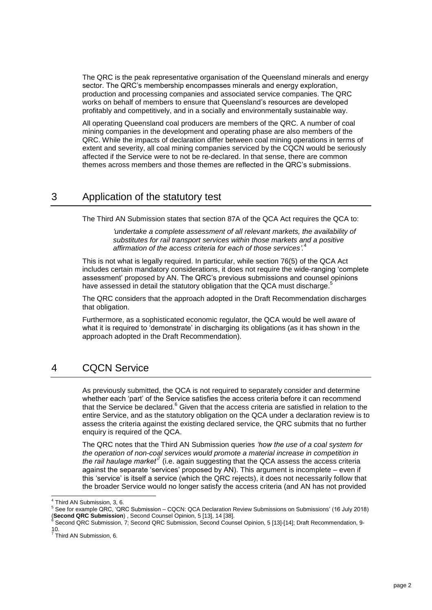The QRC is the peak representative organisation of the Queensland minerals and energy sector. The QRC's membership encompasses minerals and energy exploration, production and processing companies and associated service companies. The QRC works on behalf of members to ensure that Queensland's resources are developed profitably and competitively, and in a socially and environmentally sustainable way.

All operating Queensland coal producers are members of the QRC. A number of coal mining companies in the development and operating phase are also members of the QRC. While the impacts of declaration differ between coal mining operations in terms of extent and severity, all coal mining companies serviced by the CQCN would be seriously affected if the Service were to not be re-declared. In that sense, there are common themes across members and those themes are reflected in the QRC's submissions.

## <span id="page-3-0"></span>3 Application of the statutory test

The Third AN Submission states that section 87A of the QCA Act requires the QCA to:

*'undertake a complete assessment of all relevant markets, the availability of substitutes for rail transport services within those markets and a positive affirmation of the access criteria for each of those services'.* 4

This is not what is legally required. In particular, while section 76(5) of the QCA Act includes certain mandatory considerations, it does not require the wide-ranging 'complete assessment' proposed by AN. The QRC's previous submissions and counsel opinions have assessed in detail the statutory obligation that the QCA must discharge.<sup>5</sup>

The QRC considers that the approach adopted in the Draft Recommendation discharges that obligation.

Furthermore, as a sophisticated economic regulator, the QCA would be well aware of what it is required to 'demonstrate' in discharging its obligations (as it has shown in the approach adopted in the Draft Recommendation).

## <span id="page-3-1"></span>4 CQCN Service

As previously submitted, the QCA is not required to separately consider and determine whether each 'part' of the Service satisfies the access criteria before it can recommend that the Service be declared.<sup>6</sup> Given that the access criteria are satisfied in relation to the entire Service, and as the statutory obligation on the QCA under a declaration review is to assess the criteria against the existing declared service, the QRC submits that no further enquiry is required of the QCA.

The QRC notes that the Third AN Submission queries *'how the use of a coal system for the operation of non-coal services would promote a material increase in competition in*  the rail haulage market<sup>7</sup> (i.e. again suggesting that the QCA assess the access criteria against the separate 'services' proposed by AN). This argument is incomplete – even if this 'service' is itself a service (which the QRC rejects), it does not necessarily follow that the broader Service would no longer satisfy the access criteria (and AN has not provided

l 4 Third AN Submission, 3, 6.

<sup>&</sup>lt;sup>5</sup> See for example QRC, 'QRC Submission – CQCN: QCA Declaration Review Submissions on Submissions' (16 July 2018) (**Second QRC Submission**) , Second Counsel Opinion, 5 [13], 14 [38].

<sup>&</sup>lt;sup>6</sup> Second QRC Submission, 7; Second QRC Submission, Second Counsel Opinion, 5 [13]-[14]; Draft Recommendation, 9-10.<br><sup>7</sup> Third AN Submission, 6.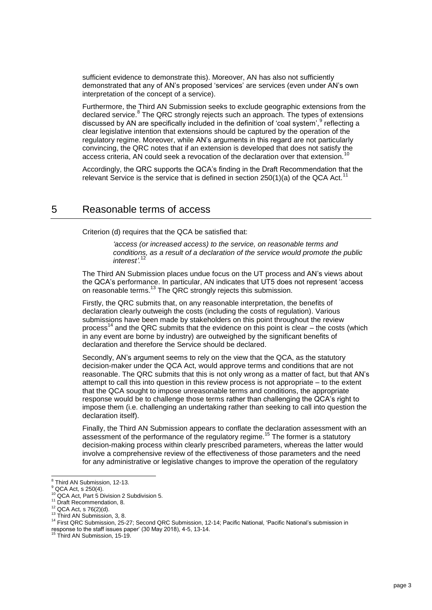sufficient evidence to demonstrate this). Moreover, AN has also not sufficiently demonstrated that any of AN's proposed 'services' are services (even under AN's own interpretation of the concept of a service).

Furthermore, the Third AN Submission seeks to exclude geographic extensions from the declared service.<sup>8</sup> The QRC strongly rejects such an approach. The types of extensions discussed by AN are specifically included in the definition of 'coal system',<sup>9</sup> reflecting a clear legislative intention that extensions should be captured by the operation of the regulatory regime. Moreover, while AN's arguments in this regard are not particularly convincing, the QRC notes that if an extension is developed that does not satisfy the access criteria, AN could seek a revocation of the declaration over that extension.

Accordingly, the QRC supports the QCA's finding in the Draft Recommendation that the relevant Service is the service that is defined in section  $250(1)(a)$  of the QCA Act.<sup>11</sup>

## <span id="page-4-0"></span>5 Reasonable terms of access

Criterion (d) requires that the QCA be satisfied that:

*'access (or increased access) to the service, on reasonable terms and conditions, as a result of a declaration of the service would promote the public interest'.* 12

The Third AN Submission places undue focus on the UT process and AN's views about the QCA's performance. In particular, AN indicates that UT5 does not represent 'access on reasonable terms.<sup>13</sup> The QRC strongly rejects this submission.

Firstly, the QRC submits that, on any reasonable interpretation, the benefits of declaration clearly outweigh the costs (including the costs of regulation). Various submissions have been made by stakeholders on this point throughout the review process<sup>14</sup> and the QRC submits that the evidence on this point is clear – the costs (which in any event are borne by industry) are outweighed by the significant benefits of declaration and therefore the Service should be declared.

Secondly, AN's argument seems to rely on the view that the QCA, as the statutory decision-maker under the QCA Act, would approve terms and conditions that are not reasonable. The QRC submits that this is not only wrong as a matter of fact, but that AN's attempt to call this into question in this review process is not appropriate – to the extent that the QCA sought to impose unreasonable terms and conditions, the appropriate response would be to challenge those terms rather than challenging the QCA's right to impose them (i.e. challenging an undertaking rather than seeking to call into question the declaration itself).

Finally, the Third AN Submission appears to conflate the declaration assessment with an assessment of the performance of the regulatory regime.<sup>15</sup> The former is a statutory decision-making process within clearly prescribed parameters, whereas the latter would involve a comprehensive review of the effectiveness of those parameters and the need for any administrative or legislative changes to improve the operation of the regulatory

 8 Third AN Submission, 12-13.

 $9$  QCA Act, s 250(4).

<sup>10</sup> QCA Act, Part 5 Division 2 Subdivision 5.

<sup>&</sup>lt;sup>11</sup> Draft Recommendation, 8.

 $12$  QCA Act, s 76(2)(d).

<sup>&</sup>lt;sup>13</sup> Third AN Submission, 3, 8.

<sup>14</sup> First QRC Submission, 25-27; Second QRC Submission, 12-14; Pacific National, 'Pacific National's submission in response to the staff issues paper' (30 May 2018), 4-5, 13-14. <sup>15</sup> Third AN Submission, 15-19.